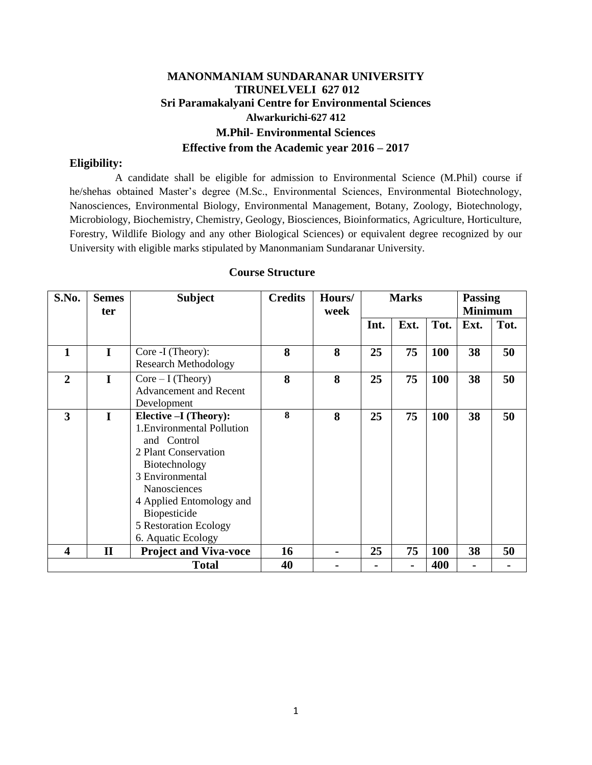# **MANONMANIAM SUNDARANAR UNIVERSITY TIRUNELVELI 627 012 Sri Paramakalyani Centre for Environmental Sciences Alwarkurichi-627 412 M.Phil- Environmental Sciences Effective from the Academic year 2016 – 2017**

### **Eligibility:**

 A candidate shall be eligible for admission to Environmental Science (M.Phil) course if he/shehas obtained Master's degree (M.Sc., Environmental Sciences, Environmental Biotechnology, Nanosciences, Environmental Biology, Environmental Management, Botany, Zoology, Biotechnology, Microbiology, Biochemistry, Chemistry, Geology, Biosciences, Bioinformatics, Agriculture, Horticulture, Forestry, Wildlife Biology and any other Biological Sciences) or equivalent degree recognized by our University with eligible marks stipulated by Manonmaniam Sundaranar University.

| S.No.          | <b>Semes</b> | <b>Subject</b>                                                                                                                                                                                                                            | <b>Credits</b> | Hours/<br>week | <b>Marks</b> |      |      | <b>Passing</b><br><b>Minimum</b> |      |
|----------------|--------------|-------------------------------------------------------------------------------------------------------------------------------------------------------------------------------------------------------------------------------------------|----------------|----------------|--------------|------|------|----------------------------------|------|
|                | ter          |                                                                                                                                                                                                                                           |                |                | Int.         | Ext. | Tot. | Ext.                             | Tot. |
|                |              |                                                                                                                                                                                                                                           |                |                |              |      |      |                                  |      |
| 1              | I            | Core -I (Theory):<br><b>Research Methodology</b>                                                                                                                                                                                          | 8              | 8              | 25           | 75   | 100  | 38                               | 50   |
| $\overline{2}$ | I            | $Core-I$ (Theory)<br>Advancement and Recent<br>Development                                                                                                                                                                                | 8              | 8              | 25           | 75   | 100  | 38                               | 50   |
| 3              | I            | Elective -I (Theory):<br>1. Environmental Pollution<br>and Control<br>2 Plant Conservation<br>Biotechnology<br>3 Environmental<br>Nanosciences<br>4 Applied Entomology and<br>Biopesticide<br>5 Restoration Ecology<br>6. Aquatic Ecology | 8              | 8              | 25           | 75   | 100  | 38                               | 50   |
| 4              | $\mathbf{I}$ | <b>Project and Viva-voce</b>                                                                                                                                                                                                              | 16             |                | 25           | 75   | 100  | 38                               | 50   |
| <b>Total</b>   |              |                                                                                                                                                                                                                                           | 40             |                |              |      | 400  | $\blacksquare$                   |      |

## **Course Structure**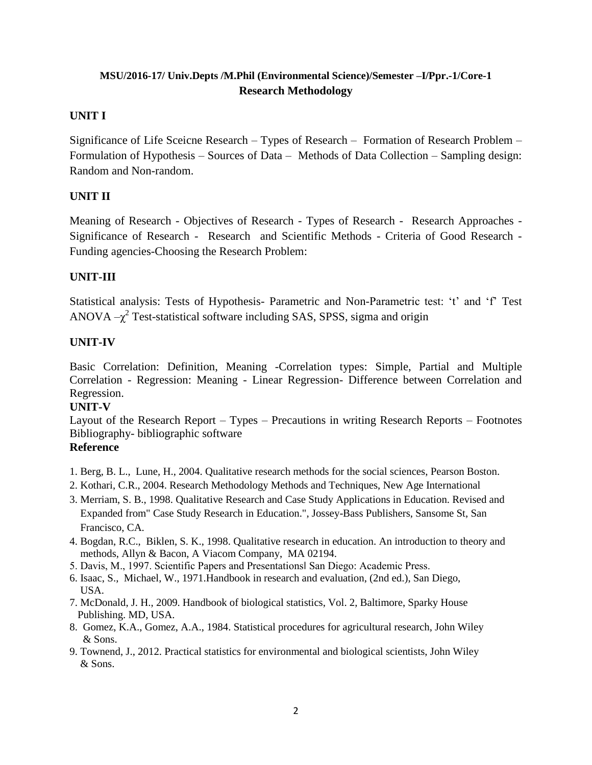# **MSU/2016-17/ Univ.Depts /M.Phil (Environmental Science)/Semester –I/Ppr.-1/Core-1 Research Methodology**

## **UNIT I**

Significance of Life Sceicne Research – Types of Research – Formation of Research Problem – Formulation of Hypothesis – Sources of Data – Methods of Data Collection – Sampling design: Random and Non-random.

# **UNIT II**

Meaning of Research - Objectives of Research - Types of Research - Research Approaches - Significance of Research - Research and Scientific Methods - Criteria of Good Research - Funding agencies-Choosing the Research Problem:

# **UNIT-III**

Statistical analysis: Tests of Hypothesis- Parametric and Non-Parametric test: 't' and 'f' Test ANOVA  $-\chi^2$  Test-statistical software including SAS, SPSS, sigma and origin

# **UNIT-IV**

Basic Correlation: Definition, Meaning -Correlation types: Simple, Partial and Multiple Correlation - Regression: Meaning - Linear Regression- Difference between Correlation and Regression.

# **UNIT-V**

Layout of the Research Report – Types – Precautions in writing Research Reports – Footnotes Bibliography- bibliographic software

# **Reference**

- 1. Berg, B. L., Lune, H., 2004. Qualitative research methods for the social sciences, Pearson Boston.
- 2. Kothari, C.R., 2004. Research Methodology Methods and Techniques, New Age International
- 3. Merriam, S. B., 1998. Qualitative Research and Case Study Applications in Education. Revised and Expanded from" Case Study Research in Education.", Jossey-Bass Publishers, Sansome St, San Francisco, CA.
- 4. Bogdan, R.C., Biklen, S. K., 1998. Qualitative research in education. An introduction to theory and methods, Allyn & Bacon, A Viacom Company, MA 02194.
- 5. Davis, M., 1997. Scientific Papers and Presentations‖ San Diego: Academic Press.
- 6. Isaac, S., Michael, W., 1971.Handbook in research and evaluation, (2nd ed.), San Diego, USA.
- 7. McDonald, J. H., 2009. Handbook of biological statistics, Vol. 2, Baltimore, Sparky House Publishing. MD, USA.
- 8. Gomez, K.A., Gomez, A.A., 1984. Statistical procedures for agricultural research, John Wiley & Sons.
- 9. Townend, J., 2012. Practical statistics for environmental and biological scientists, John Wiley & Sons.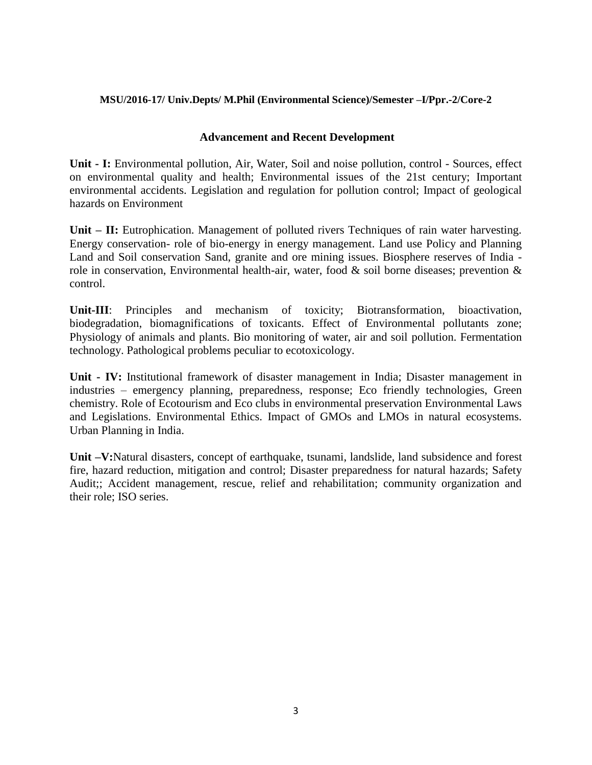### **MSU/2016-17/ Univ.Depts/ M.Phil (Environmental Science)/Semester –I/Ppr.-2/Core-2**

### **Advancement and Recent Development**

**Unit - I:** Environmental pollution, Air, Water, Soil and noise pollution, control - Sources, effect on environmental quality and health; Environmental issues of the 21st century; Important environmental accidents. Legislation and regulation for pollution control; Impact of geological hazards on Environment

**Unit – II:** Eutrophication. Management of polluted rivers Techniques of rain water harvesting. Energy conservation- role of bio-energy in energy management. Land use Policy and Planning Land and Soil conservation Sand, granite and ore mining issues. Biosphere reserves of India role in conservation, Environmental health-air, water, food & soil borne diseases; prevention & control.

**Unit-III**: Principles and mechanism of toxicity; Biotransformation, bioactivation, biodegradation, biomagnifications of toxicants. Effect of Environmental pollutants zone; Physiology of animals and plants. Bio monitoring of water, air and soil pollution. Fermentation technology. Pathological problems peculiar to ecotoxicology.

**Unit - IV:** Institutional framework of disaster management in India; Disaster management in industries – emergency planning, preparedness, response; Eco friendly technologies, Green chemistry. Role of Ecotourism and Eco clubs in environmental preservation Environmental Laws and Legislations. Environmental Ethics. Impact of GMOs and LMOs in natural ecosystems. Urban Planning in India.

**Unit –V:**Natural disasters, concept of earthquake, tsunami, landslide, land subsidence and forest fire, hazard reduction, mitigation and control; Disaster preparedness for natural hazards; Safety Audit;; Accident management, rescue, relief and rehabilitation; community organization and their role; ISO series.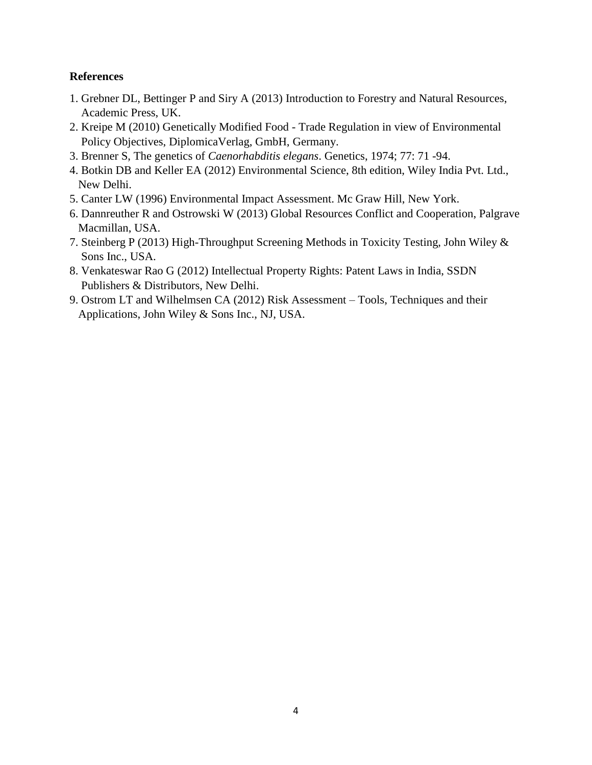## **References**

- 1. Grebner DL, Bettinger P and Siry A (2013) Introduction to Forestry and Natural Resources, Academic Press, UK.
- 2. Kreipe M (2010) Genetically Modified Food Trade Regulation in view of Environmental Policy Objectives, DiplomicaVerlag, GmbH, Germany.
- 3. Brenner S, The genetics of *Caenorhabditis elegans*. Genetics, 1974; 77: 71 -94.
- 4. Botkin DB and Keller EA (2012) Environmental Science, 8th edition, Wiley India Pvt. Ltd., New Delhi.
- 5. Canter LW (1996) Environmental Impact Assessment. Mc Graw Hill, New York.
- 6. Dannreuther R and Ostrowski W (2013) Global Resources Conflict and Cooperation, Palgrave Macmillan, USA.
- 7. Steinberg P (2013) High-Throughput Screening Methods in Toxicity Testing, John Wiley & Sons Inc., USA.
- 8. Venkateswar Rao G (2012) Intellectual Property Rights: Patent Laws in India, SSDN Publishers & Distributors, New Delhi.
- 9. Ostrom LT and Wilhelmsen CA (2012) Risk Assessment Tools, Techniques and their Applications, John Wiley & Sons Inc., NJ, USA.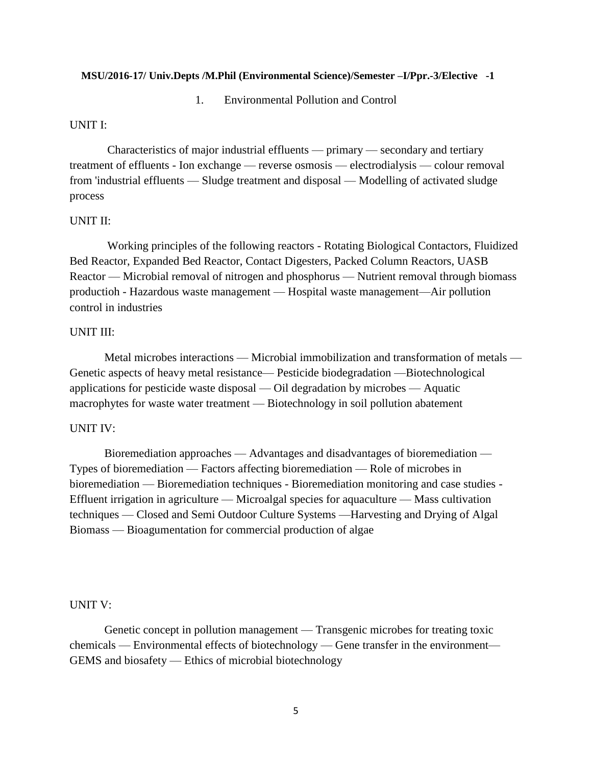#### **MSU/2016-17/ Univ.Depts /M.Phil (Environmental Science)/Semester –I/Ppr.-3/Elective -1**

1. Environmental Pollution and Control

#### UNIT I:

Characteristics of major industrial effluents — primary — secondary and tertiary treatment of effluents - Ion exchange — reverse osmosis — electrodialysis — colour removal from 'industrial effluents — Sludge treatment and disposal — Modelling of activated sludge process

#### UNIT II:

Working principles of the following reactors - Rotating Biological Contactors, Fluidized Bed Reactor, Expanded Bed Reactor, Contact Digesters, Packed Column Reactors, UASB Reactor — Microbial removal of nitrogen and phosphorus — Nutrient removal through biomass productioh - Hazardous waste management — Hospital waste management—Air pollution control in industries

#### UNIT III:

Metal microbes interactions — Microbial immobilization and transformation of metals — Genetic aspects of heavy metal resistance— Pesticide biodegradation —Biotechnological applications for pesticide waste disposal — Oil degradation by microbes — Aquatic macrophytes for waste water treatment — Biotechnology in soil pollution abatement

#### UNIT IV:

Bioremediation approaches — Advantages and disadvantages of bioremediation — Types of bioremediation — Factors affecting bioremediation — Role of microbes in bioremediation — Bioremediation techniques - Bioremediation monitoring and case studies - Effluent irrigation in agriculture — Microalgal species for aquaculture — Mass cultivation techniques — Closed and Semi Outdoor Culture Systems —Harvesting and Drying of Algal Biomass — Bioagumentation for commercial production of algae

#### UNIT V:

Genetic concept in pollution management — Transgenic microbes for treating toxic chemicals — Environmental effects of biotechnology — Gene transfer in the environment— GEMS and biosafety — Ethics of microbial biotechnology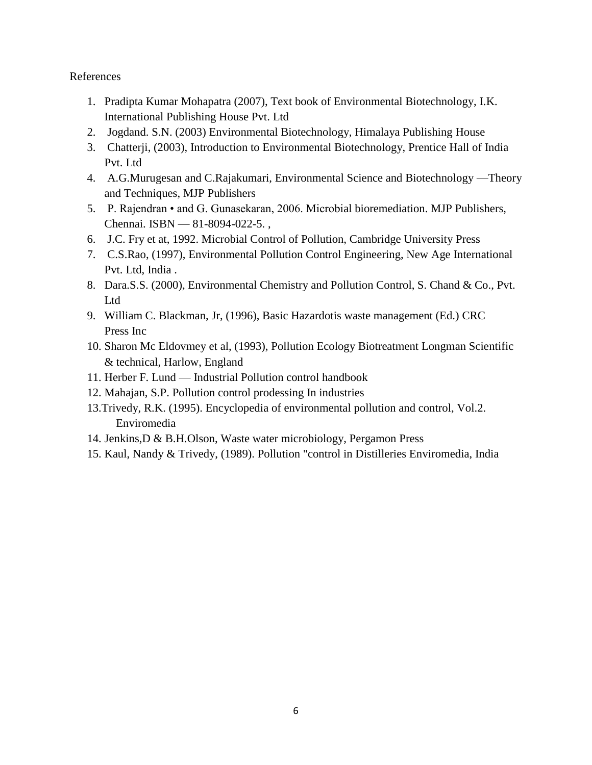## References

- 1. Pradipta Kumar Mohapatra (2007), Text book of Environmental Biotechnology, I.K. International Publishing House Pvt. Ltd
- 2. Jogdand. S.N. (2003) Environmental Biotechnology, Himalaya Publishing House
- 3. Chatterji, (2003), Introduction to Environmental Biotechnology, Prentice Hall of India Pvt. Ltd
- 4. A.G.Murugesan and C.Rajakumari, Environmental Science and Biotechnology —Theory and Techniques, MJP Publishers
- 5. P. Rajendran and G. Gunasekaran, 2006. Microbial bioremediation. MJP Publishers, Chennai. ISBN — 81-8094-022-5. ,
- 6. J.C. Fry et at, 1992. Microbial Control of Pollution, Cambridge University Press
- 7. C.S.Rao, (1997), Environmental Pollution Control Engineering, New Age International Pvt. Ltd, India .
- 8. Dara.S.S. (2000), Environmental Chemistry and Pollution Control, S. Chand & Co., Pvt. Ltd
- 9. William C. Blackman, Jr, (1996), Basic Hazardotis waste management (Ed.) CRC Press Inc
- 10. Sharon Mc Eldovmey et al, (1993), Pollution Ecology Biotreatment Longman Scientific & technical, Harlow, England
- 11. Herber F. Lund Industrial Pollution control handbook
- 12. Mahajan, S.P. Pollution control prodessing In industries
- 13.Trivedy, R.K. (1995). Encyclopedia of environmental pollution and control, Vol.2. Enviromedia
- 14. Jenkins,D & B.H.Olson, Waste water microbiology, Pergamon Press
- 15. Kaul, Nandy & Trivedy, (1989). Pollution "control in Distilleries Enviromedia, India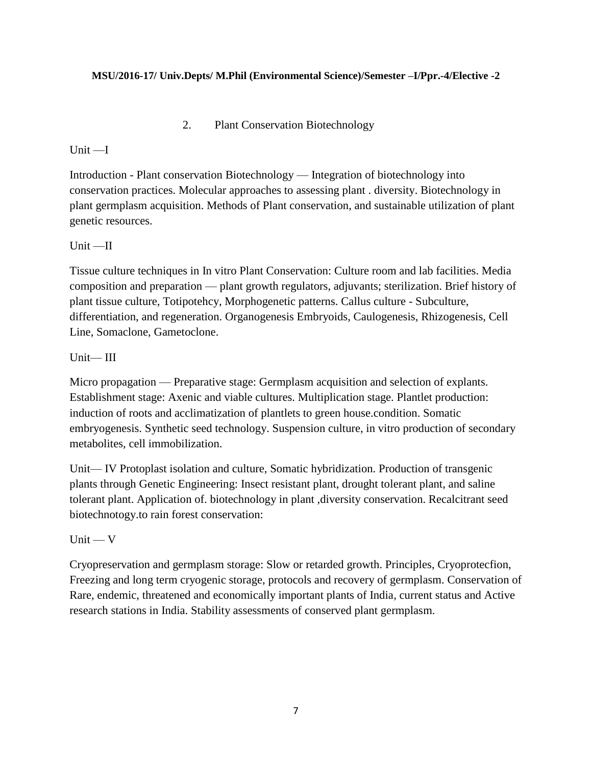### **MSU/2016-17/ Univ.Depts/ M.Phil (Environmental Science)/Semester –I/Ppr.-4/Elective -2**

2. Plant Conservation Biotechnology

## Unit —I

Introduction - Plant conservation Biotechnology — Integration of biotechnology into conservation practices. Molecular approaches to assessing plant . diversity. Biotechnology in plant germplasm acquisition. Methods of Plant conservation, and sustainable utilization of plant genetic resources.

## Unit —II

Tissue culture techniques in In vitro Plant Conservation: Culture room and lab facilities. Media composition and preparation — plant growth regulators, adjuvants; sterilization. Brief history of plant tissue culture, Totipotehcy, Morphogenetic patterns. Callus culture - Subculture, differentiation, and regeneration. Organogenesis Embryoids, Caulogenesis, Rhizogenesis, Cell Line, Somaclone, Gametoclone.

## Unit— III

Micro propagation — Preparative stage: Germplasm acquisition and selection of explants. Establishment stage: Axenic and viable cultures. Multiplication stage. Plantlet production: induction of roots and acclimatization of plantlets to green house.condition. Somatic embryogenesis. Synthetic seed technology. Suspension culture, in vitro production of secondary metabolites, cell immobilization.

Unit— IV Protoplast isolation and culture, Somatic hybridization. Production of transgenic plants through Genetic Engineering: Insect resistant plant, drought tolerant plant, and saline tolerant plant. Application of. biotechnology in plant ,diversity conservation. Recalcitrant seed biotechnotogy.to rain forest conservation:

# $Unit - V$

Cryopreservation and germplasm storage: Slow or retarded growth. Principles, Cryoprotecfion, Freezing and long term cryogenic storage, protocols and recovery of germplasm. Conservation of Rare, endemic, threatened and economically important plants of India, current status and Active research stations in India. Stability assessments of conserved plant germplasm.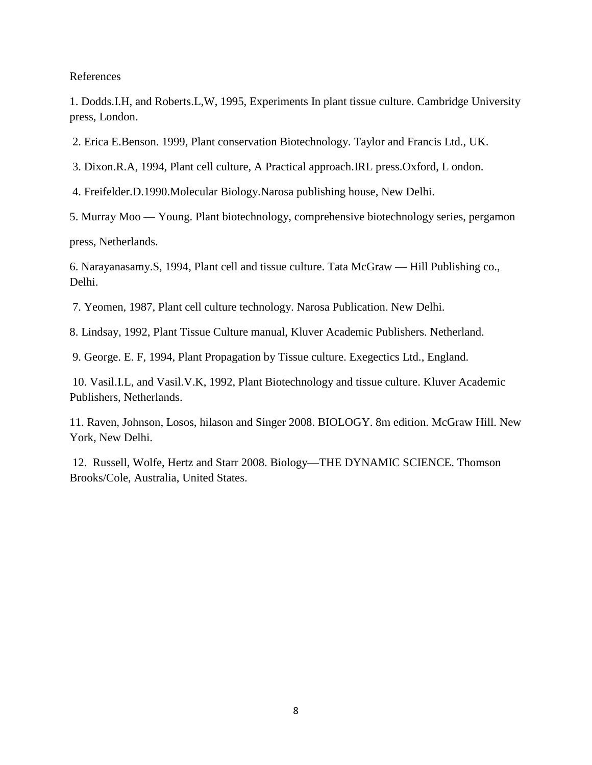#### References

1. Dodds.I.H, and Roberts.L,W, 1995, Experiments In plant tissue culture. Cambridge University press, London.

2. Erica E.Benson. 1999, Plant conservation Biotechnology. Taylor and Francis Ltd., UK.

3. Dixon.R.A, 1994, Plant cell culture, A Practical approach.IRL press.Oxford, L ondon.

4. Freifelder.D.1990.Molecular Biology.Narosa publishing house, New Delhi.

5. Murray Moo — Young. Plant biotechnology, comprehensive biotechnology series, pergamon

press, Netherlands.

6. Narayanasamy.S, 1994, Plant cell and tissue culture. Tata McGraw — Hill Publishing co., Delhi.

7. Yeomen, 1987, Plant cell culture technology. Narosa Publication. New Delhi.

8. Lindsay, 1992, Plant Tissue Culture manual, Kluver Academic Publishers. Netherland.

9. George. E. F, 1994, Plant Propagation by Tissue culture. Exegectics Ltd., England.

10. Vasil.I.L, and Vasil.V.K, 1992, Plant Biotechnology and tissue culture. Kluver Academic Publishers, Netherlands.

11. Raven, Johnson, Losos, hilason and Singer 2008. BIOLOGY. 8m edition. McGraw Hill. New York, New Delhi.

12. Russell, Wolfe, Hertz and Starr 2008. Biology—THE DYNAMIC SCIENCE. Thomson Brooks/Cole, Australia, United States.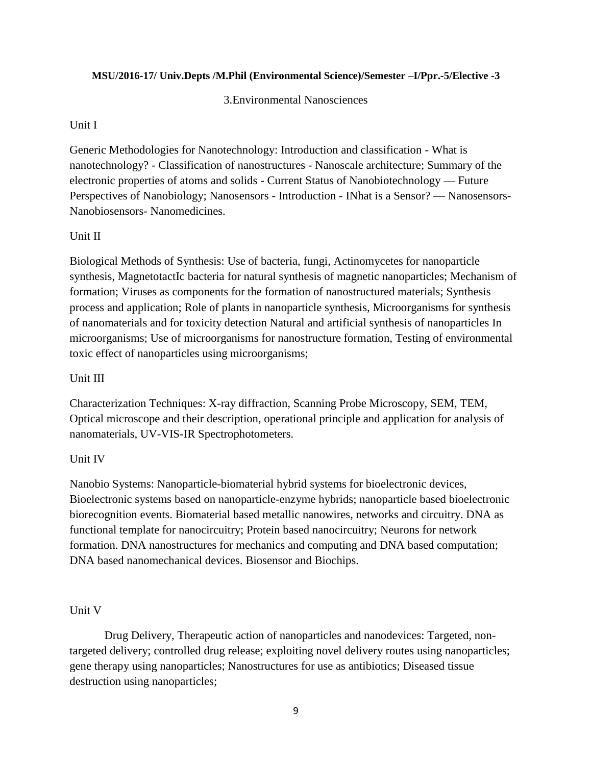### **MSU/2016-17/ Univ.Depts /M.Phil (Environmental Science)/Semester –I/Ppr.-5/Elective -3**

## 3.Environmental Nanosciences

## Unit I

Generic Methodologies for Nanotechnology: Introduction and classification - What is nanotechnology? - Classification of nanostructures - Nanoscale architecture; Summary of the electronic properties of atoms and solids - Current Status of Nanobiotechnology — Future Perspectives of Nanobiology; Nanosensors - Introduction - INhat is a Sensor? — Nanosensors-Nanobiosensors- Nanomedicines.

## Unit II

Biological Methods of Synthesis: Use of bacteria, fungi, Actinomycetes for nanoparticle synthesis, MagnetotactIc bacteria for natural synthesis of magnetic nanoparticles; Mechanism of formation; Viruses as components for the formation of nanostructured materials; Synthesis process and application; Role of plants in nanoparticle synthesis, Microorganisms for synthesis of nanomaterials and for toxicity detection Natural and artificial synthesis of nanoparticles In microorganisms; Use of microorganisms for nanostructure formation, Testing of environmental toxic effect of nanoparticles using microorganisms;

## Unit III

Characterization Techniques: X-ray diffraction, Scanning Probe Microscopy, SEM, TEM, Optical microscope and their description, operational principle and application for analysis of nanomaterials, UV-VIS-IR Spectrophotometers.

# Unit IV

Nanobio Systems: Nanoparticle-biomaterial hybrid systems for bioelectronic devices, Bioelectronic systems based on nanoparticle-enzyme hybrids; nanoparticle based bioelectronic biorecognition events. Biomaterial based metallic nanowires, networks and circuitry. DNA as functional template for nanocircuitry; Protein based nanocircuitry; Neurons for network formation. DNA nanostructures for mechanics and computing and DNA based computation; DNA based nanomechanical devices. Biosensor and Biochips.

## Unit V

Drug Delivery, Therapeutic action of nanoparticles and nanodevices: Targeted, nontargeted delivery; controlled drug release; exploiting novel delivery routes using nanoparticles; gene therapy using nanoparticles; Nanostructures for use as antibiotics; Diseased tissue destruction using nanoparticles;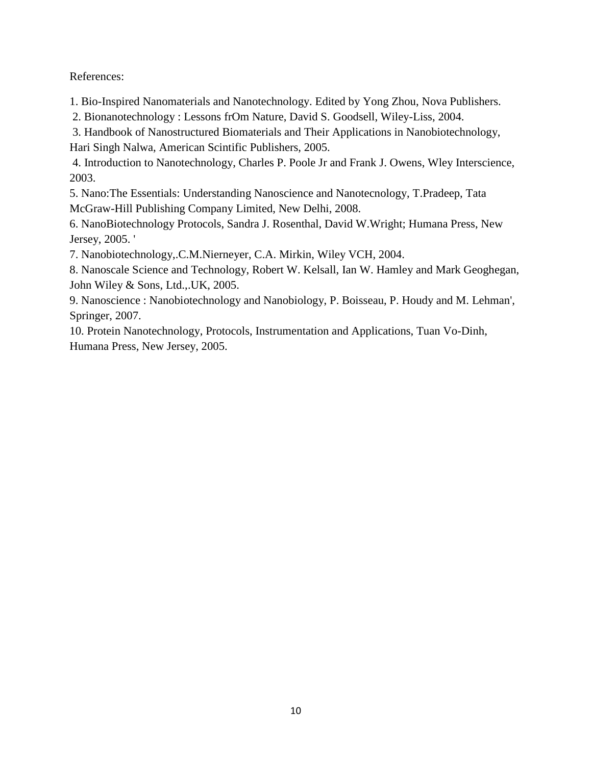References:

1. Bio-Inspired Nanomaterials and Nanotechnology. Edited by Yong Zhou, Nova Publishers.

2. Bionanotechnology : Lessons frOm Nature, David S. Goodsell, Wiley-Liss, 2004.

3. Handbook of Nanostructured Biomaterials and Their Applications in Nanobiotechnology, Hari Singh Nalwa, American Scintific Publishers, 2005.

4. Introduction to Nanotechnology, Charles P. Poole Jr and Frank J. Owens, Wley Interscience, 2003.

5. Nano:The Essentials: Understanding Nanoscience and Nanotecnology, T.Pradeep, Tata McGraw-Hill Publishing Company Limited, New Delhi, 2008.

6. NanoBiotechnology Protocols, Sandra J. Rosenthal, David W.Wright; Humana Press, New Jersey, 2005. '

7. Nanobiotechnology,.C.M.Nierneyer, C.A. Mirkin, Wiley VCH, 2004.

8. Nanoscale Science and Technology, Robert W. Kelsall, Ian W. Hamley and Mark Geoghegan, John Wiley & Sons, Ltd.,.UK, 2005.

9. Nanoscience : Nanobiotechnology and Nanobiology, P. Boisseau, P. Houdy and M. Lehman', Springer, 2007.

10. Protein Nanotechnology, Protocols, Instrumentation and Applications, Tuan Vo-Dinh, Humana Press, New Jersey, 2005.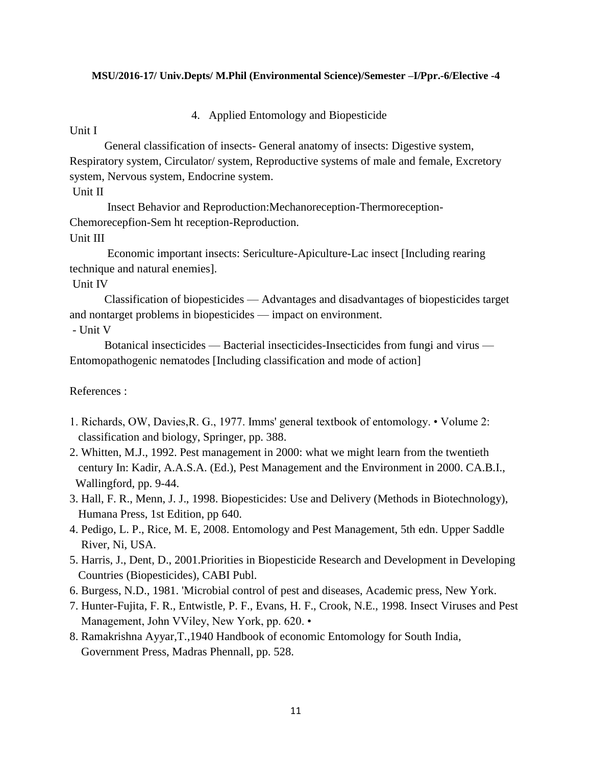#### **MSU/2016-17/ Univ.Depts/ M.Phil (Environmental Science)/Semester –I/Ppr.-6/Elective -4**

4. Applied Entomology and Biopesticide

Unit I

General classification of insects- General anatomy of insects: Digestive system, Respiratory system, Circulator/ system, Reproductive systems of male and female, Excretory system, Nervous system, Endocrine system.

Unit II

Insect Behavior and Reproduction:Mechanoreception-Thermoreception-Chemorecepfion-Sem ht reception-Reproduction.

Unit III

Economic important insects: Sericulture-Apiculture-Lac insect [Including rearing technique and natural enemies].

Unit IV

Classification of biopesticides — Advantages and disadvantages of biopesticides target and nontarget problems in biopesticides — impact on environment.

- Unit V

Botanical insecticides — Bacterial insecticides-Insecticides from fungi and virus — Entomopathogenic nematodes [Including classification and mode of action]

References :

- 1. Richards, OW, Davies,R. G., 1977. Imms' general textbook of entomology. Volume 2: classification and biology, Springer, pp. 388.
- 2. Whitten, M.J., 1992. Pest management in 2000: what we might learn from the twentieth century In: Kadir, A.A.S.A. (Ed.), Pest Management and the Environment in 2000. CA.B.I., Wallingford, pp. 9-44.
- 3. Hall, F. R., Menn, J. J., 1998. Biopesticides: Use and Delivery (Methods in Biotechnology), Humana Press, 1st Edition, pp 640.
- 4. Pedigo, L. P., Rice, M. E, 2008. Entomology and Pest Management, 5th edn. Upper Saddle River, Ni, USA.
- 5. Harris, J., Dent, D., 2001.Priorities in Biopesticide Research and Development in Developing Countries (Biopesticides), CABI Publ.
- 6. Burgess, N.D., 1981. 'Microbial control of pest and diseases, Academic press, New York.
- 7. Hunter-Fujita, F. R., Entwistle, P. F., Evans, H. F., Crook, N.E., 1998. Insect Viruses and Pest Management, John VViley, New York, pp. 620. •
- 8. Ramakrishna Ayyar,T.,1940 Handbook of economic Entomology for South India, Government Press, Madras Phennall, pp. 528.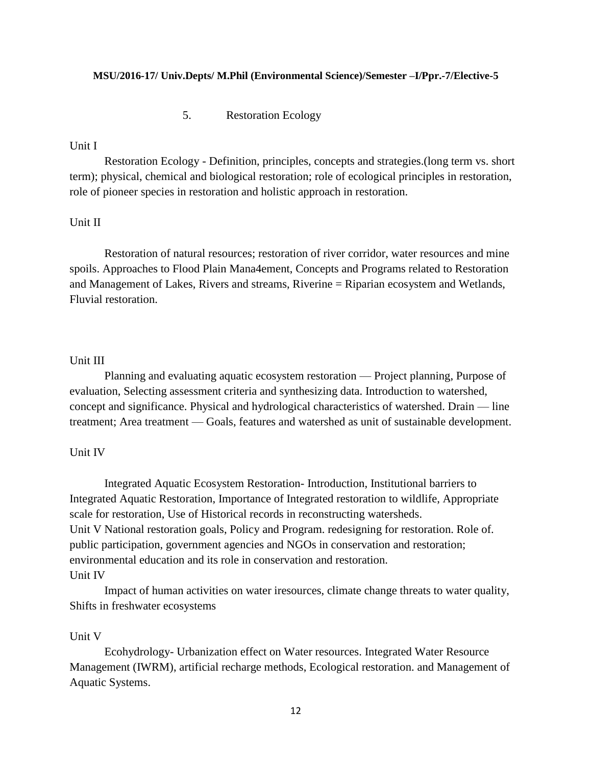#### **MSU/2016-17/ Univ.Depts/ M.Phil (Environmental Science)/Semester –I/Ppr.-7/Elective-5**

5. Restoration Ecology

## Unit I

Restoration Ecology - Definition, principles, concepts and strategies.(long term vs. short term); physical, chemical and biological restoration; role of ecological principles in restoration, role of pioneer species in restoration and holistic approach in restoration.

## Unit II

Restoration of natural resources; restoration of river corridor, water resources and mine spoils. Approaches to Flood Plain Mana4ement, Concepts and Programs related to Restoration and Management of Lakes, Rivers and streams, Riverine = Riparian ecosystem and Wetlands, Fluvial restoration.

#### Unit III

Planning and evaluating aquatic ecosystem restoration — Project planning, Purpose of evaluation, Selecting assessment criteria and synthesizing data. Introduction to watershed, concept and significance. Physical and hydrological characteristics of watershed. Drain — line treatment; Area treatment — Goals, features and watershed as unit of sustainable development.

### Unit IV

Integrated Aquatic Ecosystem Restoration- Introduction, Institutional barriers to Integrated Aquatic Restoration, Importance of Integrated restoration to wildlife, Appropriate scale for restoration, Use of Historical records in reconstructing watersheds. Unit V National restoration goals, Policy and Program. redesigning for restoration. Role of. public participation, government agencies and NGOs in conservation and restoration; environmental education and its role in conservation and restoration. Unit IV

Impact of human activities on water iresources, climate change threats to water quality, Shifts in freshwater ecosystems

#### Unit V

Ecohydrology- Urbanization effect on Water resources. Integrated Water Resource Management (IWRM), artificial recharge methods, Ecological restoration. and Management of Aquatic Systems.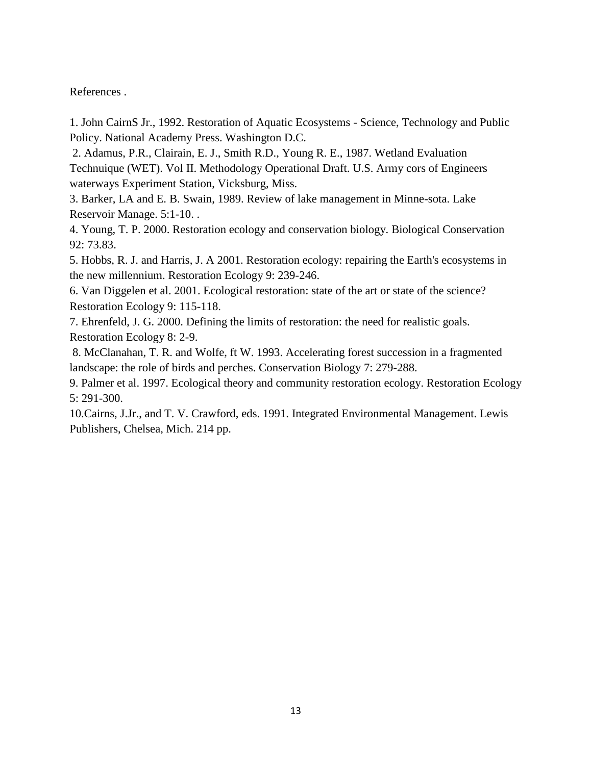References .

1. John CairnS Jr., 1992. Restoration of Aquatic Ecosystems - Science, Technology and Public Policy. National Academy Press. Washington D.C.

2. Adamus, P.R., Clairain, E. J., Smith R.D., Young R. E., 1987. Wetland Evaluation Technuique (WET). Vol II. Methodology Operational Draft. U.S. Army cors of Engineers waterways Experiment Station, Vicksburg, Miss.

3. Barker, LA and E. B. Swain, 1989. Review of lake management in Minne-sota. Lake Reservoir Manage. 5:1-10. .

4. Young, T. P. 2000. Restoration ecology and conservation biology. Biological Conservation 92: 73.83.

5. Hobbs, R. J. and Harris, J. A 2001. Restoration ecology: repairing the Earth's ecosystems in the new millennium. Restoration Ecology 9: 239-246.

6. Van Diggelen et al. 2001. Ecological restoration: state of the art or state of the science? Restoration Ecology 9: 115-118.

7. Ehrenfeld, J. G. 2000. Defining the limits of restoration: the need for realistic goals. Restoration Ecology 8: 2-9.

8. McClanahan, T. R. and Wolfe, ft W. 1993. Accelerating forest succession in a fragmented landscape: the role of birds and perches. Conservation Biology 7: 279-288.

9. Palmer et al. 1997. Ecological theory and community restoration ecology. Restoration Ecology 5: 291-300.

10.Cairns, J.Jr., and T. V. Crawford, eds. 1991. Integrated Environmental Management. Lewis Publishers, Chelsea, Mich. 214 pp.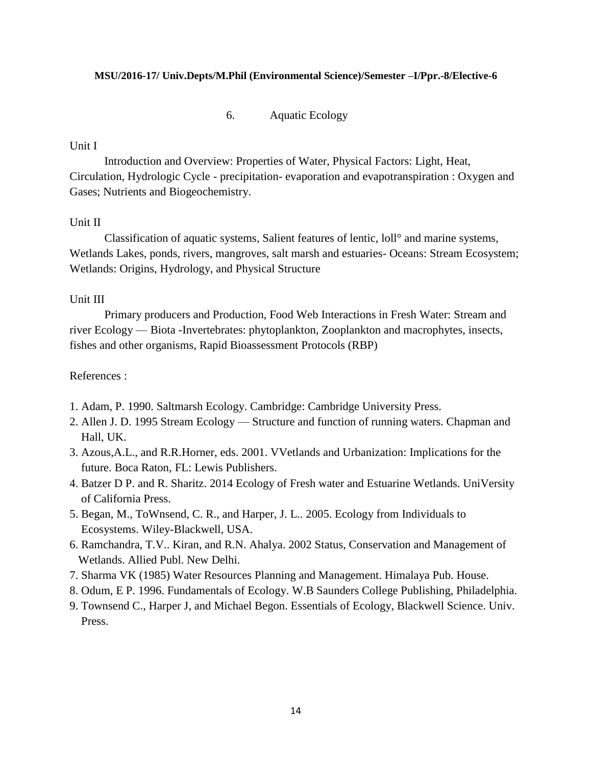#### **MSU/2016-17/ Univ.Depts/M.Phil (Environmental Science)/Semester –I/Ppr.-8/Elective-6**

6. Aquatic Ecology

#### Unit I

Introduction and Overview: Properties of Water, Physical Factors: Light, Heat, Circulation, Hydrologic Cycle - precipitation- evaporation and evapotranspiration : Oxygen and Gases; Nutrients and Biogeochemistry.

## Unit II

Classification of aquatic systems, Salient features of lentic, loll° and marine systems, Wetlands Lakes, ponds, rivers, mangroves, salt marsh and estuaries- Oceans: Stream Ecosystem; Wetlands: Origins, Hydrology, and Physical Structure

### Unit III

Primary producers and Production, Food Web Interactions in Fresh Water: Stream and river Ecology — Biota -Invertebrates: phytoplankton, Zooplankton and macrophytes, insects, fishes and other organisms, Rapid Bioassessment Protocols (RBP)

## References :

- 1. Adam, P. 1990. Saltmarsh Ecology. Cambridge: Cambridge University Press.
- 2. Allen J. D. 1995 Stream Ecology Structure and function of running waters. Chapman and Hall, UK.
- 3. Azous,A.L., and R.R.Horner, eds. 2001. VVetlands and Urbanization: Implications for the future. Boca Raton, FL: Lewis Publishers.
- 4. Batzer D P. and R. Sharitz. 2014 Ecology of Fresh water and Estuarine Wetlands. UniVersity of California Press.
- 5. Began, M., ToWnsend, C. R., and Harper, J. L.. 2005. Ecology from Individuals to Ecosystems. Wiley-Blackwell, USA.
- 6. Ramchandra, T.V.. Kiran, and R.N. Ahalya. 2002 Status, Conservation and Management of Wetlands. Allied Publ. New Delhi.
- 7. Sharma VK (1985) Water Resources Planning and Management. Himalaya Pub. House.
- 8. Odum, E P. 1996. Fundamentals of Ecology. W.B Saunders College Publishing, Philadelphia.
- 9. Townsend C., Harper J, and Michael Begon. Essentials of Ecology, Blackwell Science. Univ. Press.